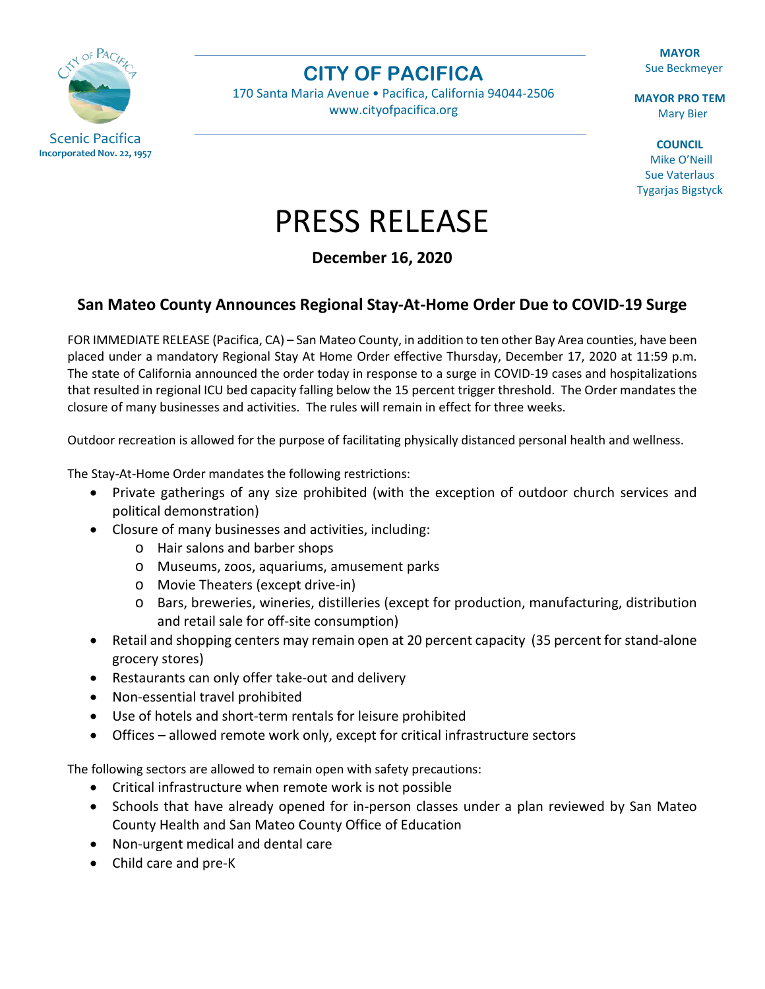

**CITY OF PACIFICA**

170 Santa Maria Avenue • Pacifica, California 94044-2506 [www.cityofpacifica.org](http://www.cityofpacifica.org/)

**MAYOR** Sue Beckmeyer

**MAYOR PRO TEM** Mary Bier

**COUNCIL** Mike O'Neill Sue Vaterlaus Tygarjas Bigstyck

## PRESS RELEASE

**December 16, 2020**

## **San Mateo County Announces Regional Stay-At-Home Order Due to COVID-19 Surge**

FOR IMMEDIATE RELEASE (Pacifica, CA) – San Mateo County, in addition to ten other Bay Area counties, have been placed under a mandatory Regional Stay At Home Order effective Thursday, December 17, 2020 at 11:59 p.m. The state of California announced the order today in response to a surge in COVID-19 cases and hospitalizations that resulted in regional ICU bed capacity falling below the 15 percent trigger threshold. The Order mandates the closure of many businesses and activities. The rules will remain in effect for three weeks.

Outdoor recreation is allowed for the purpose of facilitating physically distanced personal health and wellness.

The Stay-At-Home Order mandates the following restrictions:

- Private gatherings of any size prohibited (with the exception of outdoor church services and political demonstration)
- Closure of many businesses and activities, including:
	- o Hair salons and barber shops
	- o Museums, zoos, aquariums, amusement parks
	- o Movie Theaters (except drive-in)
	- o Bars, breweries, wineries, distilleries (except for production, manufacturing, distribution and retail sale for off-site consumption)
- Retail and shopping centers may remain open at 20 percent capacity (35 percent for stand-alone grocery stores)
- Restaurants can only offer take-out and delivery
- Non-essential travel prohibited
- Use of hotels and short-term rentals for leisure prohibited
- Offices allowed remote work only, except for critical infrastructure sectors

The following sectors are allowed to remain open with safety precautions:

- Critical infrastructure when remote work is not possible
- Schools that have already opened for in-person classes under a plan reviewed by San Mateo County Health and San Mateo County Office of Education
- Non-urgent medical and dental care
- Child care and pre-K